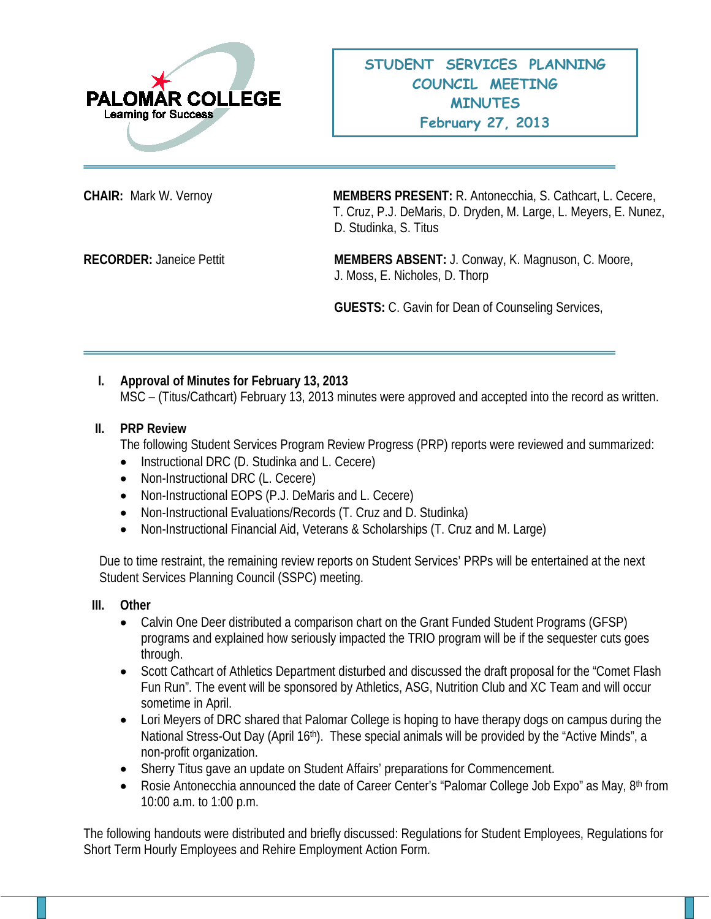

**CHAIR:** Mark W. Vernoy **MEMBERS PRESENT:** R. Antonecchia, S. Cathcart, L. Cecere, T. Cruz, P.J. DeMaris, D. Dryden, M. Large, L. Meyers, E. Nunez, D. Studinka, S. Titus

**RECORDER:** Janeice Pettit **MEMBERS ABSENT:** J. Conway, K. Magnuson, C. Moore, J. Moss, E. Nicholes, D. Thorp

**GUESTS:** C. Gavin for Dean of Counseling Services,

## **I. Approval of Minutes for February 13, 2013**

MSC – (Titus/Cathcart) February 13, 2013 minutes were approved and accepted into the record as written.

## **II. PRP Review**

The following Student Services Program Review Progress (PRP) reports were reviewed and summarized:

- Instructional DRC (D. Studinka and L. Cecere)
- Non-Instructional DRC (L. Cecere)
- Non-Instructional EOPS (P.J. DeMaris and L. Cecere)
- Non-Instructional Evaluations/Records (T. Cruz and D. Studinka)
- Non-Instructional Financial Aid, Veterans & Scholarships (T. Cruz and M. Large)

Due to time restraint, the remaining review reports on Student Services' PRPs will be entertained at the next Student Services Planning Council (SSPC) meeting.

## **III. Other**

- Calvin One Deer distributed a comparison chart on the Grant Funded Student Programs (GFSP) programs and explained how seriously impacted the TRIO program will be if the sequester cuts goes through.
- Scott Cathcart of Athletics Department disturbed and discussed the draft proposal for the "Comet Flash Fun Run". The event will be sponsored by Athletics, ASG, Nutrition Club and XC Team and will occur sometime in April.
- Lori Meyers of DRC shared that Palomar College is hoping to have therapy dogs on campus during the National Stress-Out Day (April 16<sup>th</sup>). These special animals will be provided by the "Active Minds", a non-profit organization.
- Sherry Titus gave an update on Student Affairs' preparations for Commencement.
- Rosie Antonecchia announced the date of Career Center's "Palomar College Job Expo" as May, 8th from 10:00 a.m. to 1:00 p.m.

The following handouts were distributed and briefly discussed: Regulations for Student Employees, Regulations for Short Term Hourly Employees and Rehire Employment Action Form.